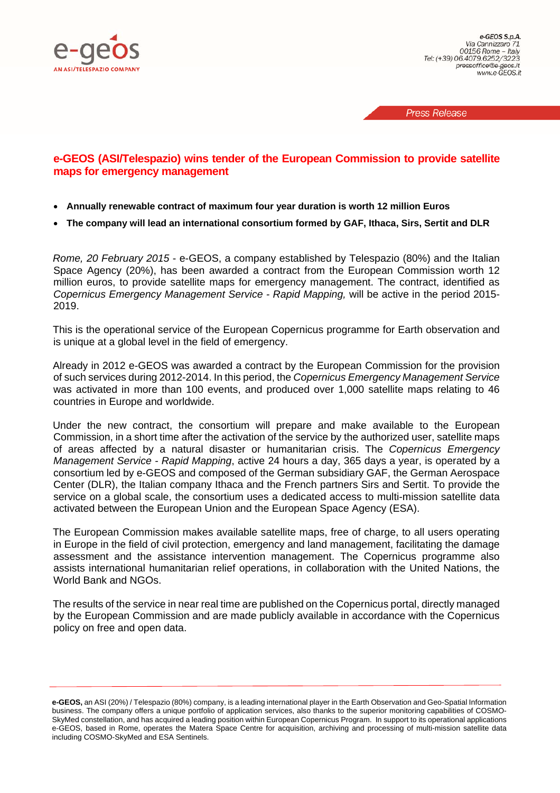

**Press Release** 

# **e-GEOS (ASI/Telespazio) wins tender of the European Commission to provide satellite maps for emergency management**

- **Annually renewable contract of maximum four year duration is worth 12 million Euros**
- **The company will lead an international consortium formed by GAF, Ithaca, Sirs, Sertit and DLR**

*Rome, 20 February 2015* - e-GEOS, a company established by Telespazio (80%) and the Italian Space Agency (20%), has been awarded a contract from the European Commission worth 12 million euros, to provide satellite maps for emergency management. The contract, identified as *Copernicus Emergency Management Service - Rapid Mapping,* will be active in the period 2015- 2019.

This is the operational service of the European Copernicus programme for Earth observation and is unique at a global level in the field of emergency.

Already in 2012 e-GEOS was awarded a contract by the European Commission for the provision of such services during 2012-2014. In this period, the *Copernicus Emergency Management Service*  was activated in more than 100 events, and produced over 1,000 satellite maps relating to 46 countries in Europe and worldwide.

Under the new contract, the consortium will prepare and make available to the European Commission, in a short time after the activation of the service by the authorized user, satellite maps of areas affected by a natural disaster or humanitarian crisis. The *Copernicus Emergency Management Service - Rapid Mapping*, active 24 hours a day, 365 days a year, is operated by a consortium led by e-GEOS and composed of the German subsidiary GAF, the German Aerospace Center (DLR), the Italian company Ithaca and the French partners Sirs and Sertit. To provide the service on a global scale, the consortium uses a dedicated access to multi-mission satellite data activated between the European Union and the European Space Agency (ESA).

The European Commission makes available satellite maps, free of charge, to all users operating in Europe in the field of civil protection, emergency and land management, facilitating the damage assessment and the assistance intervention management. The Copernicus programme also assists international humanitarian relief operations, in collaboration with the United Nations, the World Bank and NGOs.

The results of the service in near real time are published on the Copernicus portal, directly managed by the European Commission and are made publicly available in accordance with the Copernicus policy on free and open data.

**e-GEOS,** an ASI (20%) / Telespazio (80%) company, is a leading international player in the Earth Observation and Geo-Spatial Information business. The company offers a unique portfolio of application services, also thanks to the superior monitoring capabilities of COSMO-SkyMed constellation, and has acquired a leading position within European Copernicus Program. In support to its operational applications e-GEOS, based in Rome, operates the Matera Space Centre for acquisition, archiving and processing of multi-mission satellite data including COSMO-SkyMed and ESA Sentinels.